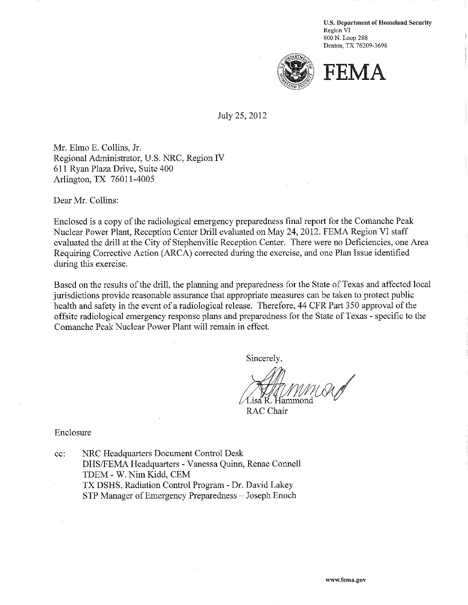**U.S. Department of Homeland Security** Region VI 800 N. Loop 288 Denton, TX 76209-3698



July 25, 2012

Mr. Elmo E. Collins, Jr. Regional Administrator, U.S. NRC, Region IV 611 Ryan Plaza Drive, Suite 400 Arlington, TX 76011-4005

Dear Mr. Collins:

Enclosed is a copy of the radiological emergency preparedness final report for the Comanche Peak Nuclear Power Plant, Reception Center Drill evaluated on May 24, 2012. FEMA Region VI staff evaluated the drill at the City of Stephenville Reception Center. There were no Deficiencies, one Area Requiring Corrective Action (ARCA) corrected during the exercise, and one Plan Issue identified during this exercise.

Based on the results of the drill, the planning and preparedness for the State of Texas and affected local jurisdictions provide reasonable assurance that appropriate measures can be taken to protect public health and safety in the event of a radiological release. Therefore, 44 CFR Part 350 approval of the offsite radiological emergency response plans and preparedness for the State of Texas - specific to the Comanche Peak Nuclear Power Plant will remain in effect.

Sincerely.

Lisa R. Hammond

RAC Chair

Enclosure

cc: NRC Headquarters Document Control Desk DHS/FEMA Headquarters - Vanessa Quinn, Renae Connell TDEM - W. Nim Kidd, CEM TX DSHS, Radiation Control Program - Dr. David Lakey STP Manager of Emergency Preparedness - Joseph Enoch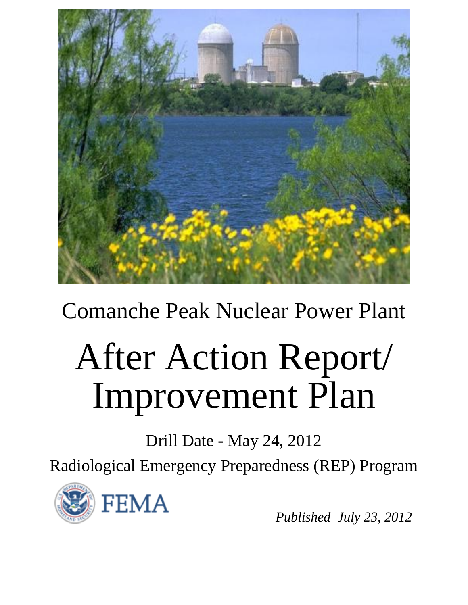

## Comanche Peak Nuclear Power Plant

# After Action Report/ Improvement Plan

Drill Date - May 24, 2012

Radiological Emergency Preparedness (REP) Program



*Published July 23, 2012*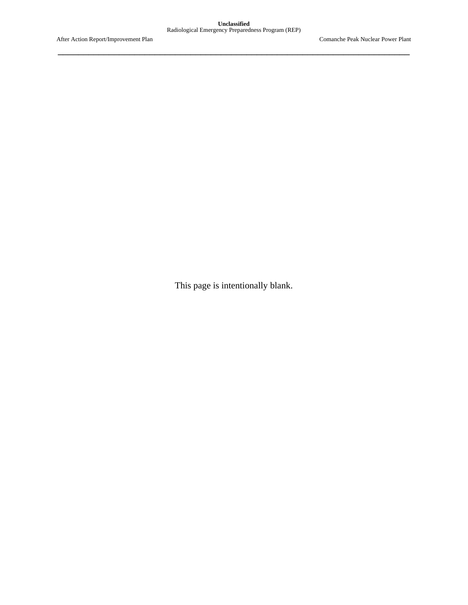This page is intentionally blank.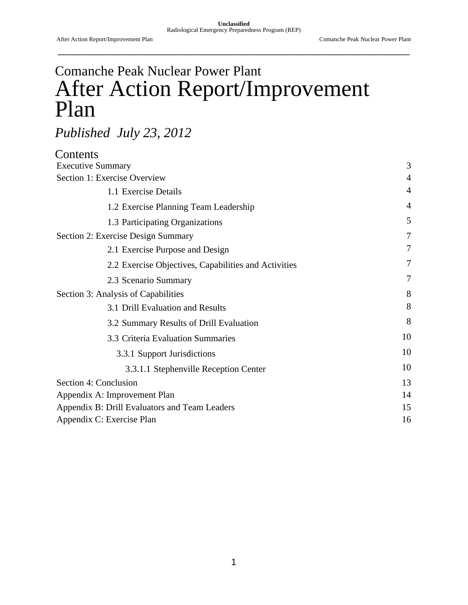## Comanche Peak Nuclear Power Plant After Action Report/Improvement Plan

*Published July 23, 2012*

| Contents                 |  |
|--------------------------|--|
| <b>Executive Summary</b> |  |

| <b>Executive Summary</b>                             |                |
|------------------------------------------------------|----------------|
| Section 1: Exercise Overview                         | 4              |
| 1.1 Exercise Details                                 | $\overline{4}$ |
| 1.2 Exercise Planning Team Leadership                | 4              |
| 1.3 Participating Organizations                      | 5              |
| Section 2: Exercise Design Summary                   | 7              |
| 2.1 Exercise Purpose and Design                      | 7              |
| 2.2 Exercise Objectives, Capabilities and Activities | 7              |
| 2.3 Scenario Summary                                 | 7              |
| Section 3: Analysis of Capabilities                  | 8              |
| 3.1 Drill Evaluation and Results                     | 8              |
| 3.2 Summary Results of Drill Evaluation              | 8              |
| 3.3 Criteria Evaluation Summaries                    | 10             |
| 3.3.1 Support Jurisdictions                          | 10             |
| 3.3.1.1 Stephenville Reception Center                | 10             |
| Section 4: Conclusion                                | 13             |
| Appendix A: Improvement Plan                         | 14             |
| Appendix B: Drill Evaluators and Team Leaders        | 15             |
| Appendix C: Exercise Plan                            | 16             |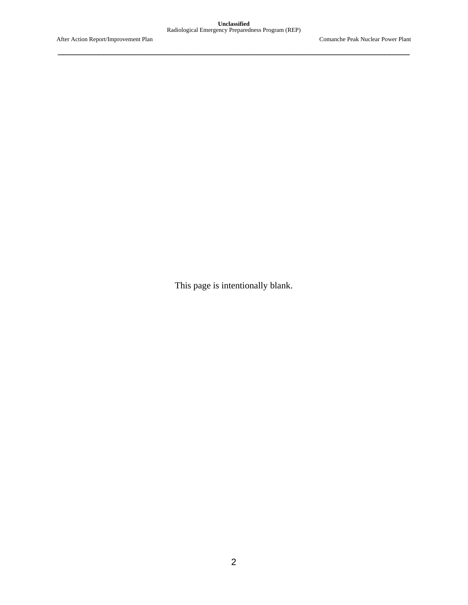This page is intentionally blank.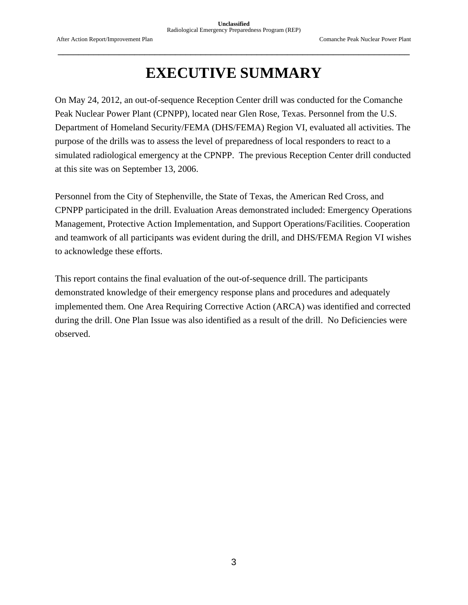After Action Report/Improvement Plan Comanche Peak Nuclear Power Plant

## **EXECUTIVE SUMMARY**

\_\_\_\_\_\_\_\_\_\_\_\_\_\_\_\_\_\_\_\_\_\_\_\_\_\_\_\_\_\_\_\_\_\_\_\_\_\_\_\_\_\_\_\_\_\_\_\_\_\_\_\_\_\_\_\_\_\_\_\_\_\_\_\_\_\_\_\_\_

On May 24, 2012, an out-of-sequence Reception Center drill was conducted for the Comanche Peak Nuclear Power Plant (CPNPP), located near Glen Rose, Texas. Personnel from the U.S. Department of Homeland Security/FEMA (DHS/FEMA) Region VI, evaluated all activities. The purpose of the drills was to assess the level of preparedness of local responders to react to a simulated radiological emergency at the CPNPP. The previous Reception Center drill conducted at this site was on September 13, 2006.

Personnel from the City of Stephenville, the State of Texas, the American Red Cross, and CPNPP participated in the drill. Evaluation Areas demonstrated included: Emergency Operations Management, Protective Action Implementation, and Support Operations/Facilities. Cooperation and teamwork of all participants was evident during the drill, and DHS/FEMA Region VI wishes to acknowledge these efforts.

This report contains the final evaluation of the out-of-sequence drill. The participants demonstrated knowledge of their emergency response plans and procedures and adequately implemented them. One Area Requiring Corrective Action (ARCA) was identified and corrected during the drill. One Plan Issue was also identified as a result of the drill. No Deficiencies were observed.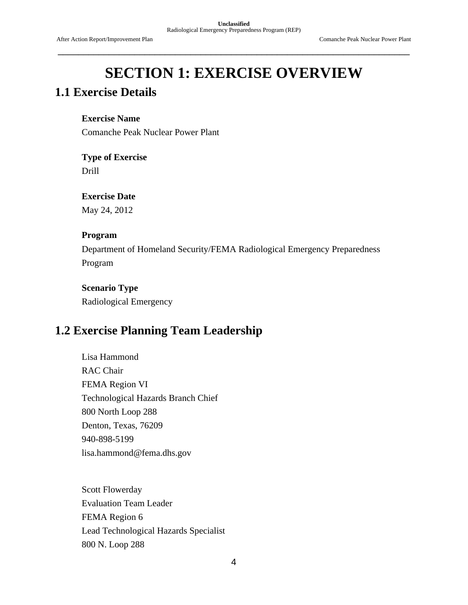## **SECTION 1: EXERCISE OVERVIEW**

### **1.1 Exercise Details**

### **Exercise Name**

Comanche Peak Nuclear Power Plant

### **Type of Exercise**

Drill

### **Exercise Date**

May 24, 2012

### **Program**

Department of Homeland Security/FEMA Radiological Emergency Preparedness Program

### **Scenario Type**

Radiological Emergency

### **1.2 Exercise Planning Team Leadership**

Lisa Hammond RAC Chair FEMA Region VI Technological Hazards Branch Chief 800 North Loop 288 Denton, Texas, 76209 940-898-5199 lisa.hammond@fema.dhs.gov

Scott Flowerday Evaluation Team Leader FEMA Region 6 Lead Technological Hazards Specialist 800 N. Loop 288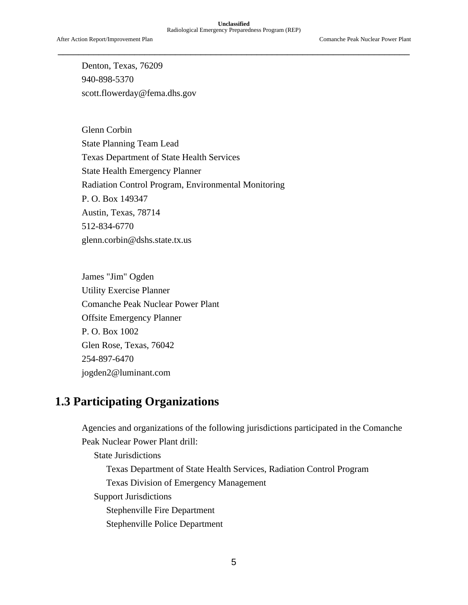Denton, Texas, 76209 940-898-5370 scott.flowerday@fema.dhs.gov

Glenn Corbin State Planning Team Lead Texas Department of State Health Services State Health Emergency Planner Radiation Control Program, Environmental Monitoring P. O. Box 149347 Austin, Texas, 78714 512-834-6770 glenn.corbin@dshs.state.tx.us

James "Jim" Ogden Utility Exercise Planner Comanche Peak Nuclear Power Plant Offsite Emergency Planner P. O. Box 1002 Glen Rose, Texas, 76042 254-897-6470 jogden2@luminant.com

### **1.3 Participating Organizations**

Agencies and organizations of the following jurisdictions participated in the Comanche Peak Nuclear Power Plant drill:

State Jurisdictions Texas Department of State Health Services, Radiation Control Program Texas Division of Emergency Management Support Jurisdictions Stephenville Fire Department Stephenville Police Department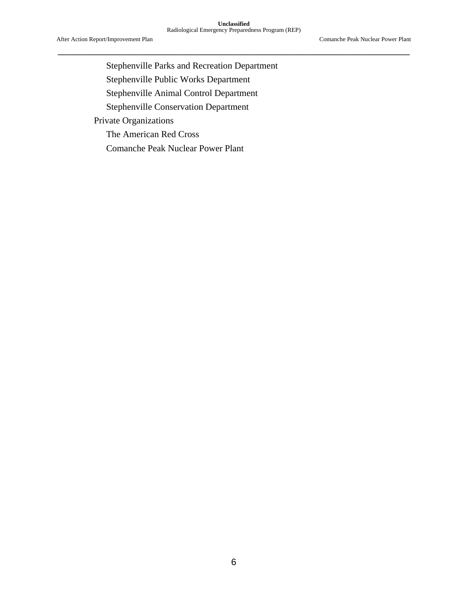Stephenville Parks and Recreation Department Stephenville Public Works Department Stephenville Animal Control Department Stephenville Conservation Department

Private Organizations

The American Red Cross

Comanche Peak Nuclear Power Plant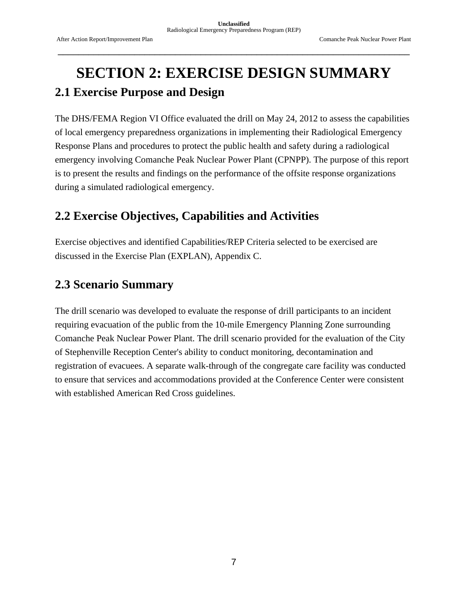## **SECTION 2: EXERCISE DESIGN SUMMARY 2.1 Exercise Purpose and Design**

The DHS/FEMA Region VI Office evaluated the drill on May 24, 2012 to assess the capabilities of local emergency preparedness organizations in implementing their Radiological Emergency Response Plans and procedures to protect the public health and safety during a radiological emergency involving Comanche Peak Nuclear Power Plant (CPNPP). The purpose of this report is to present the results and findings on the performance of the offsite response organizations during a simulated radiological emergency.

### **2.2 Exercise Objectives, Capabilities and Activities**

Exercise objectives and identified Capabilities/REP Criteria selected to be exercised are discussed in the Exercise Plan (EXPLAN), Appendix C.

## **2.3 Scenario Summary**

The drill scenario was developed to evaluate the response of drill participants to an incident requiring evacuation of the public from the 10-mile Emergency Planning Zone surrounding Comanche Peak Nuclear Power Plant. The drill scenario provided for the evaluation of the City of Stephenville Reception Center's ability to conduct monitoring, decontamination and registration of evacuees. A separate walk-through of the congregate care facility was conducted to ensure that services and accommodations provided at the Conference Center were consistent with established American Red Cross guidelines.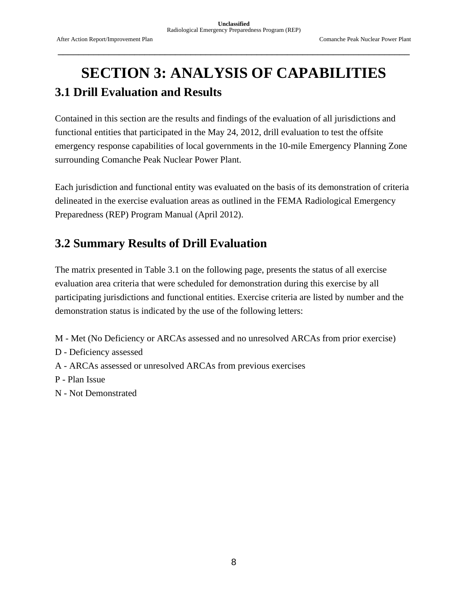## **SECTION 3: ANALYSIS OF CAPABILITIES 3.1 Drill Evaluation and Results**

Contained in this section are the results and findings of the evaluation of all jurisdictions and functional entities that participated in the May 24, 2012, drill evaluation to test the offsite emergency response capabilities of local governments in the 10-mile Emergency Planning Zone surrounding Comanche Peak Nuclear Power Plant.

Each jurisdiction and functional entity was evaluated on the basis of its demonstration of criteria delineated in the exercise evaluation areas as outlined in the FEMA Radiological Emergency Preparedness (REP) Program Manual (April 2012).

### **3.2 Summary Results of Drill Evaluation**

The matrix presented in Table 3.1 on the following page, presents the status of all exercise evaluation area criteria that were scheduled for demonstration during this exercise by all participating jurisdictions and functional entities. Exercise criteria are listed by number and the demonstration status is indicated by the use of the following letters:

- M Met (No Deficiency or ARCAs assessed and no unresolved ARCAs from prior exercise)
- D Deficiency assessed
- A ARCAs assessed or unresolved ARCAs from previous exercises
- P Plan Issue
- N Not Demonstrated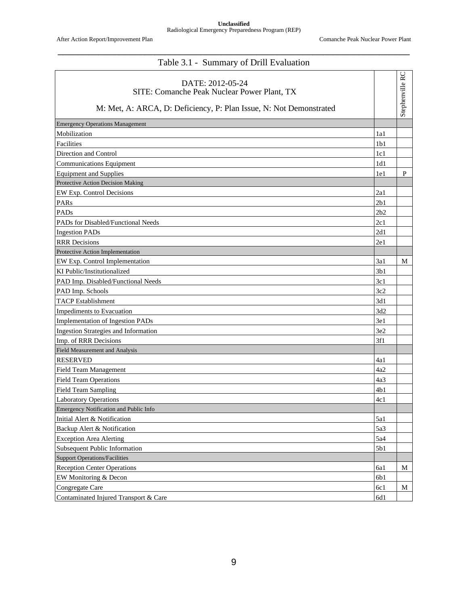After Action Report/Improvement Plan Comanche Peak Nuclear Power Plant

### Table 3.1 - Summary of Drill Evaluation \_\_\_\_\_\_\_\_\_\_\_\_\_\_\_\_\_\_\_\_\_\_\_\_\_\_\_\_\_\_\_\_\_\_\_\_\_\_\_\_\_\_\_\_\_\_\_\_\_\_\_\_\_\_\_\_\_\_\_\_\_\_\_\_\_\_\_\_\_

| DATE: 2012-05-24<br>SITE: Comanche Peak Nuclear Power Plant, TX<br>M: Met, A: ARCA, D: Deficiency, P: Plan Issue, N: Not Demonstrated |                 | Stephenville RC |
|---------------------------------------------------------------------------------------------------------------------------------------|-----------------|-----------------|
| <b>Emergency Operations Management</b>                                                                                                |                 |                 |
| Mobilization                                                                                                                          | 1a1             |                 |
| Facilities                                                                                                                            | 1 <sub>b1</sub> |                 |
| Direction and Control                                                                                                                 | 1c1             |                 |
| <b>Communications Equipment</b>                                                                                                       | 1d1             |                 |
| <b>Equipment and Supplies</b>                                                                                                         | 1e1             | $\mathbf{P}$    |
| Protective Action Decision Making                                                                                                     |                 |                 |
| EW Exp. Control Decisions                                                                                                             | 2a1             |                 |
| PARs                                                                                                                                  | 2b1             |                 |
| PADs                                                                                                                                  | 2b2             |                 |
| PADs for Disabled/Functional Needs                                                                                                    | 2c1             |                 |
| <b>Ingestion PADs</b>                                                                                                                 | 2d1             |                 |
| <b>RRR</b> Decisions                                                                                                                  | 2e1             |                 |
| Protective Action Implementation                                                                                                      |                 |                 |
| EW Exp. Control Implementation                                                                                                        | 3a1             | M               |
| KI Public/Institutionalized                                                                                                           | 3 <sub>b1</sub> |                 |
| PAD Imp. Disabled/Functional Needs                                                                                                    | 3c1             |                 |
| PAD Imp. Schools                                                                                                                      | 3c2             |                 |
| <b>TACP Establishment</b>                                                                                                             | 3d1             |                 |
| Impediments to Evacuation                                                                                                             | 3d2             |                 |
| Implementation of Ingestion PADs                                                                                                      | 3e1             |                 |
| Ingestion Strategies and Information                                                                                                  | 3e2             |                 |
| Imp. of RRR Decisions                                                                                                                 | 3f1             |                 |
| Field Measurement and Analysis                                                                                                        |                 |                 |
| <b>RESERVED</b>                                                                                                                       | 4a1             |                 |
| Field Team Management                                                                                                                 | 4a2             |                 |
| <b>Field Team Operations</b>                                                                                                          | 4a3             |                 |
| Field Team Sampling                                                                                                                   | 4b1             |                 |
| <b>Laboratory Operations</b>                                                                                                          | 4c1             |                 |
| Emergency Notification and Public Info                                                                                                |                 |                 |
| Initial Alert & Notification                                                                                                          | 5a1             |                 |
| Backup Alert & Notification                                                                                                           | 5a3             |                 |
| <b>Exception Area Alerting</b>                                                                                                        | 5a4             |                 |
| <b>Subsequent Public Information</b>                                                                                                  | 5b1             |                 |
| <b>Support Operations/Facilities</b>                                                                                                  |                 |                 |
| <b>Reception Center Operations</b>                                                                                                    | 6a1             | M               |
| EW Monitoring & Decon                                                                                                                 | 6b1             |                 |
| Congregate Care                                                                                                                       | 6c1             | $\mathbf M$     |
| Contaminated Injured Transport & Care                                                                                                 | 6d1             |                 |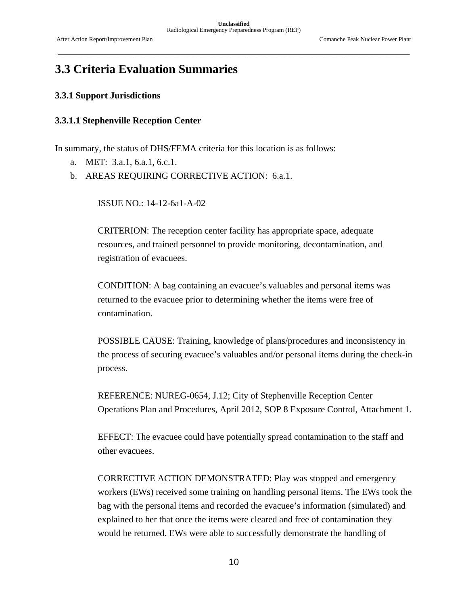After Action Report/Improvement Plan Comanche Peak Nuclear Power Plant

### **3.3 Criteria Evaluation Summaries**

### **3.3.1 Support Jurisdictions**

### **3.3.1.1 Stephenville Reception Center**

In summary, the status of DHS/FEMA criteria for this location is as follows:

- a. MET: 3.a.1, 6.a.1, 6.c.1.
- b. AREAS REQUIRING CORRECTIVE ACTION: 6.a.1.

ISSUE NO.: 14-12-6a1-A-02

CRITERION: The reception center facility has appropriate space, adequate resources, and trained personnel to provide monitoring, decontamination, and registration of evacuees.

CONDITION: A bag containing an evacuee's valuables and personal items was returned to the evacuee prior to determining whether the items were free of contamination.

POSSIBLE CAUSE: Training, knowledge of plans/procedures and inconsistency in the process of securing evacuee's valuables and/or personal items during the check-in process.

REFERENCE: NUREG-0654, J.12; City of Stephenville Reception Center Operations Plan and Procedures, April 2012, SOP 8 Exposure Control, Attachment 1.

EFFECT: The evacuee could have potentially spread contamination to the staff and other evacuees.

CORRECTIVE ACTION DEMONSTRATED: Play was stopped and emergency workers (EWs) received some training on handling personal items. The EWs took the bag with the personal items and recorded the evacuee's information (simulated) and explained to her that once the items were cleared and free of contamination they would be returned. EWs were able to successfully demonstrate the handling of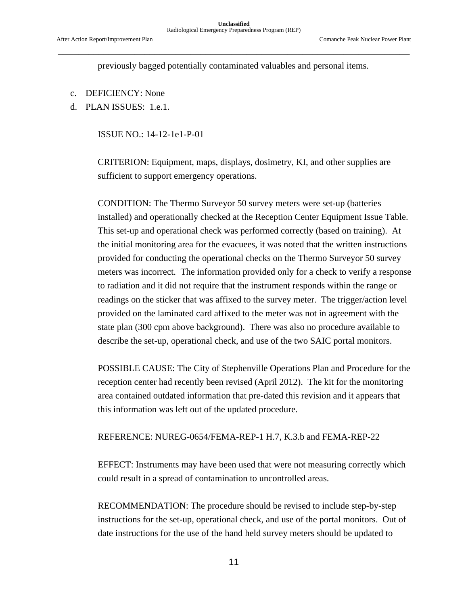previously bagged potentially contaminated valuables and personal items.

\_\_\_\_\_\_\_\_\_\_\_\_\_\_\_\_\_\_\_\_\_\_\_\_\_\_\_\_\_\_\_\_\_\_\_\_\_\_\_\_\_\_\_\_\_\_\_\_\_\_\_\_\_\_\_\_\_\_\_\_\_\_\_\_\_\_\_\_\_

- c. DEFICIENCY: None
- d. PLAN ISSUES: 1.e.1.

ISSUE NO.: 14-12-1e1-P-01

CRITERION: Equipment, maps, displays, dosimetry, KI, and other supplies are sufficient to support emergency operations.

CONDITION: The Thermo Surveyor 50 survey meters were set-up (batteries installed) and operationally checked at the Reception Center Equipment Issue Table. This set-up and operational check was performed correctly (based on training). At the initial monitoring area for the evacuees, it was noted that the written instructions provided for conducting the operational checks on the Thermo Surveyor 50 survey meters was incorrect. The information provided only for a check to verify a response to radiation and it did not require that the instrument responds within the range or readings on the sticker that was affixed to the survey meter. The trigger/action level provided on the laminated card affixed to the meter was not in agreement with the state plan (300 cpm above background). There was also no procedure available to describe the set-up, operational check, and use of the two SAIC portal monitors.

POSSIBLE CAUSE: The City of Stephenville Operations Plan and Procedure for the reception center had recently been revised (April 2012). The kit for the monitoring area contained outdated information that pre-dated this revision and it appears that this information was left out of the updated procedure.

### REFERENCE: NUREG-0654/FEMA-REP-1 H.7, K.3.b and FEMA-REP-22

EFFECT: Instruments may have been used that were not measuring correctly which could result in a spread of contamination to uncontrolled areas.

RECOMMENDATION: The procedure should be revised to include step-by-step instructions for the set-up, operational check, and use of the portal monitors. Out of date instructions for the use of the hand held survey meters should be updated to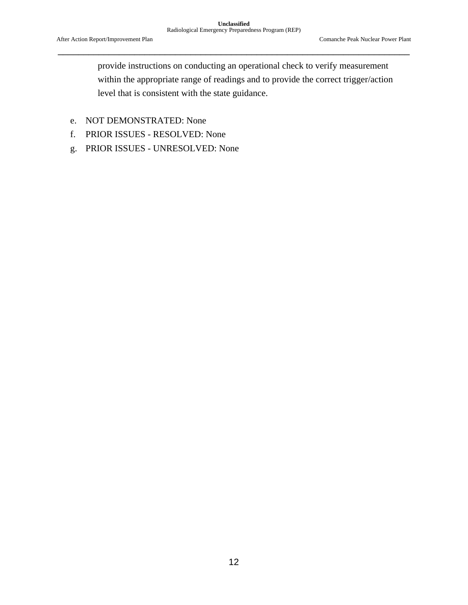provide instructions on conducting an operational check to verify measurement within the appropriate range of readings and to provide the correct trigger/action level that is consistent with the state guidance.

- e. NOT DEMONSTRATED: None
- f. PRIOR ISSUES - RESOLVED: None
- g. PRIOR ISSUES UNRESOLVED: None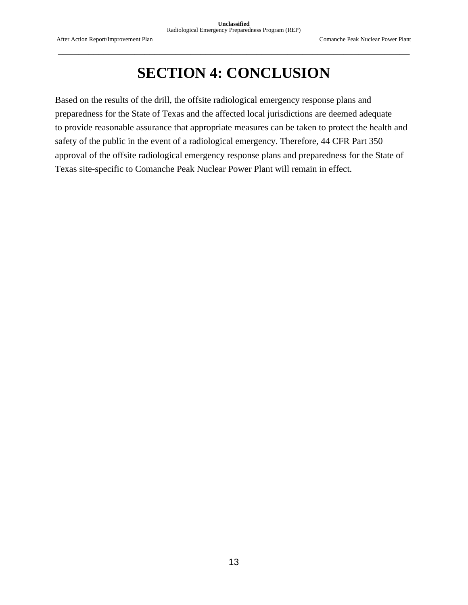## **SECTION 4: CONCLUSION**

\_\_\_\_\_\_\_\_\_\_\_\_\_\_\_\_\_\_\_\_\_\_\_\_\_\_\_\_\_\_\_\_\_\_\_\_\_\_\_\_\_\_\_\_\_\_\_\_\_\_\_\_\_\_\_\_\_\_\_\_\_\_\_\_\_\_\_\_\_

Based on the results of the drill, the offsite radiological emergency response plans and preparedness for the State of Texas and the affected local jurisdictions are deemed adequate to provide reasonable assurance that appropriate measures can be taken to protect the health and safety of the public in the event of a radiological emergency. Therefore, 44 CFR Part 350 approval of the offsite radiological emergency response plans and preparedness for the State of Texas site-specific to Comanche Peak Nuclear Power Plant will remain in effect.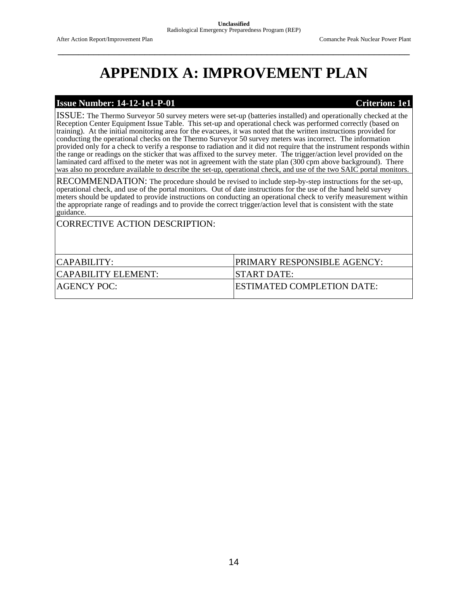## **APPENDIX A: IMPROVEMENT PLAN**

### **Issue Number: 14-12-1e1-P-01 Criterion: 1e1**

ISSUE: The Thermo Surveyor 50 survey meters were set-up (batteries installed) and operationally checked at the Reception Center Equipment Issue Table. This set-up and operational check was performed correctly (based on training). At the initial monitoring area for the evacuees, it was noted that the written instructions provided for conducting the operational checks on the Thermo Surveyor 50 survey meters was incorrect. The information provided only for a check to verify a response to radiation and it did not require that the instrument responds within the range or readings on the sticker that was affixed to the survey meter. The trigger/action level provided on the laminated card affixed to the meter was not in agreement with the state plan (300 cpm above background). There was also no procedure available to describe the set-up, operational check, and use of the two SAIC portal monitors.

RECOMMENDATION: The procedure should be revised to include step-by-step instructions for the set-up, operational check, and use of the portal monitors. Out of date instructions for the use of the hand held survey meters should be updated to provide instructions on conducting an operational check to verify measurement within the appropriate range of readings and to provide the correct trigger/action level that is consistent with the state guidance.

| CORRECTIVE ACTION DESCRIPTION: |                             |
|--------------------------------|-----------------------------|
|                                |                             |
| $\mathsf{ICAPABILITY:}$        | PRIMARY RESPONSIBLE AGENCY: |
| <b>CAPABILITY ELEMENT:</b>     | <b>START DATE:</b>          |
| AGENCY POC:                    | ESTIMATED COMPLETION DATE:  |
|                                |                             |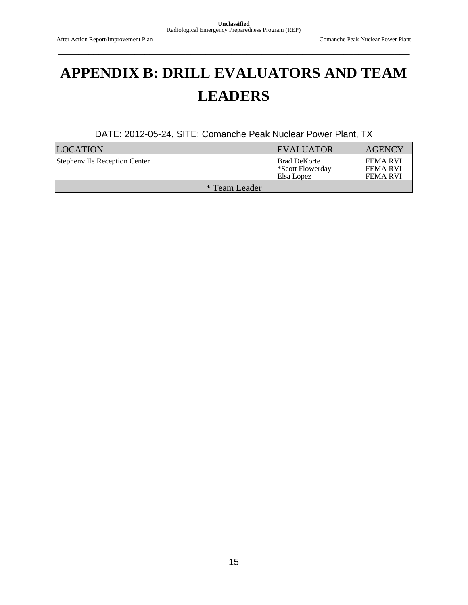## **APPENDIX B: DRILL EVALUATORS AND TEAM LEADERS**

| <b>LOCATION</b>               | IEVALUATOR                                                          | <b>AGENCY</b>                                            |
|-------------------------------|---------------------------------------------------------------------|----------------------------------------------------------|
| Stephenville Reception Center | <b>Brad DeKorte</b><br><i><b>*Scott Flowerday</b></i><br>Elsa Lopez | <b>IFEMA RVI</b><br><b>JFEMA RVI</b><br><b>IFEMA RVI</b> |
| * Team Leader                 |                                                                     |                                                          |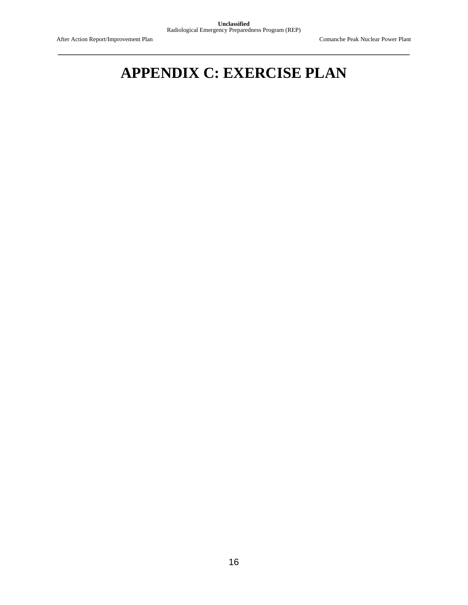After Action Report/Improvement Plan Comanche Peak Nuclear Power Plant

## **APPENDIX C: EXERCISE PLAN**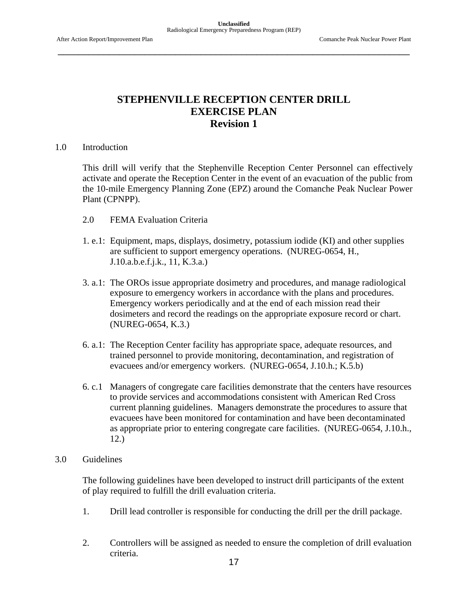### **STEPHENVILLE RECEPTION CENTER DRILL EXERCISE PLAN Revision 1**

### 1.0 Introduction

This drill will verify that the Stephenville Reception Center Personnel can effectively activate and operate the Reception Center in the event of an evacuation of the public from the 10-mile Emergency Planning Zone (EPZ) around the Comanche Peak Nuclear Power Plant (CPNPP).

- 2.0 FEMA Evaluation Criteria
- 1. e.1: Equipment, maps, displays, dosimetry, potassium iodide (KI) and other supplies are sufficient to support emergency operations. (NUREG-0654, H., J.10.a.b.e.f.j.k., 11, K.3.a.)
- 3. a.1: The OROs issue appropriate dosimetry and procedures, and manage radiological exposure to emergency workers in accordance with the plans and procedures. Emergency workers periodically and at the end of each mission read their dosimeters and record the readings on the appropriate exposure record or chart. (NUREG-0654, K.3.)
- 6. a.1: The Reception Center facility has appropriate space, adequate resources, and trained personnel to provide monitoring, decontamination, and registration of evacuees and/or emergency workers. (NUREG-0654, J.10.h.; K.5.b)
- 6. c.1 Managers of congregate care facilities demonstrate that the centers have resources to provide services and accommodations consistent with American Red Cross current planning guidelines. Managers demonstrate the procedures to assure that evacuees have been monitored for contamination and have been decontaminated as appropriate prior to entering congregate care facilities. (NUREG-0654, J.10.h., 12.)

### 3.0 Guidelines

The following guidelines have been developed to instruct drill participants of the extent of play required to fulfill the drill evaluation criteria.

- 1. Drill lead controller is responsible for conducting the drill per the drill package.
- 2. Controllers will be assigned as needed to ensure the completion of drill evaluation criteria.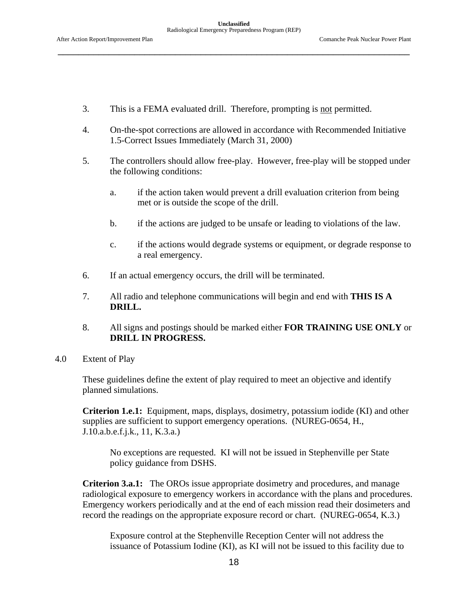- 3. This is a FEMA evaluated drill. Therefore, prompting is not permitted.
- 4. On-the-spot corrections are allowed in accordance with Recommended Initiative 1.5-Correct Issues Immediately (March 31, 2000)
- 5. The controllers should allow free-play. However, free-play will be stopped under the following conditions:
	- a. if the action taken would prevent a drill evaluation criterion from being met or is outside the scope of the drill.
	- b. if the actions are judged to be unsafe or leading to violations of the law.
	- c. if the actions would degrade systems or equipment, or degrade response to a real emergency.
- 6. If an actual emergency occurs, the drill will be terminated.
- 7. All radio and telephone communications will begin and end with **THIS IS A DRILL.**
- 8. All signs and postings should be marked either **FOR TRAINING USE ONLY** or **DRILL IN PROGRESS.**
- 4.0 Extent of Play

These guidelines define the extent of play required to meet an objective and identify planned simulations.

**Criterion 1.e.1:** Equipment, maps, displays, dosimetry, potassium iodide (KI) and other supplies are sufficient to support emergency operations. (NUREG-0654, H., J.10.a.b.e.f.j.k., 11, K.3.a.)

No exceptions are requested. KI will not be issued in Stephenville per State policy guidance from DSHS.

**Criterion 3.a.1:** The OROs issue appropriate dosimetry and procedures, and manage radiological exposure to emergency workers in accordance with the plans and procedures. Emergency workers periodically and at the end of each mission read their dosimeters and record the readings on the appropriate exposure record or chart. (NUREG-0654, K.3.)

Exposure control at the Stephenville Reception Center will not address the issuance of Potassium Iodine (KI), as KI will not be issued to this facility due to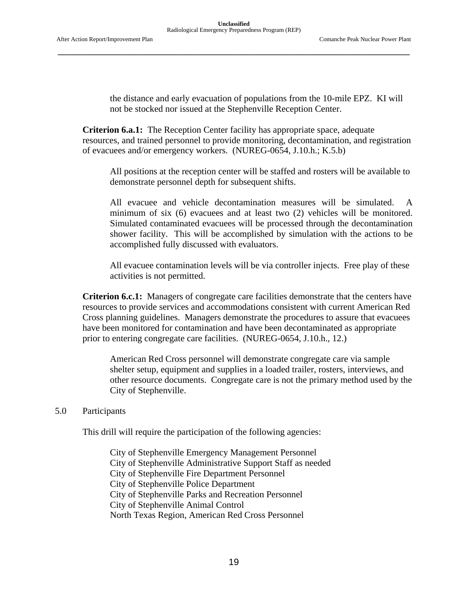the distance and early evacuation of populations from the 10-mile EPZ. KI will not be stocked nor issued at the Stephenville Reception Center.

**Criterion 6.a.1:** The Reception Center facility has appropriate space, adequate resources, and trained personnel to provide monitoring, decontamination, and registration of evacuees and/or emergency workers. (NUREG-0654, J.10.h.; K.5.b)

All positions at the reception center will be staffed and rosters will be available to demonstrate personnel depth for subsequent shifts.

All evacuee and vehicle decontamination measures will be simulated. A minimum of six (6) evacuees and at least two (2) vehicles will be monitored. Simulated contaminated evacuees will be processed through the decontamination shower facility. This will be accomplished by simulation with the actions to be accomplished fully discussed with evaluators.

All evacuee contamination levels will be via controller injects. Free play of these activities is not permitted.

**Criterion 6.c.1:** Managers of congregate care facilities demonstrate that the centers have resources to provide services and accommodations consistent with current American Red Cross planning guidelines. Managers demonstrate the procedures to assure that evacuees have been monitored for contamination and have been decontaminated as appropriate prior to entering congregate care facilities. (NUREG-0654, J.10.h., 12.)

American Red Cross personnel will demonstrate congregate care via sample shelter setup, equipment and supplies in a loaded trailer, rosters, interviews, and other resource documents. Congregate care is not the primary method used by the City of Stephenville.

### 5.0 Participants

This drill will require the participation of the following agencies:

City of Stephenville Emergency Management Personnel City of Stephenville Administrative Support Staff as needed City of Stephenville Fire Department Personnel City of Stephenville Police Department City of Stephenville Parks and Recreation Personnel City of Stephenville Animal Control North Texas Region, American Red Cross Personnel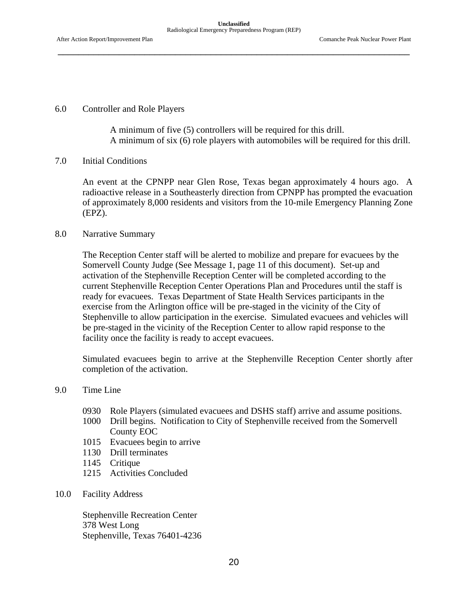### 6.0 Controller and Role Players

A minimum of five (5) controllers will be required for this drill. A minimum of six (6) role players with automobiles will be required for this drill.

### 7.0 Initial Conditions

An event at the CPNPP near Glen Rose, Texas began approximately 4 hours ago. A radioactive release in a Southeasterly direction from CPNPP has prompted the evacuation of approximately 8,000 residents and visitors from the 10-mile Emergency Planning Zone (EPZ).

### 8.0 Narrative Summary

The Reception Center staff will be alerted to mobilize and prepare for evacuees by the Somervell County Judge (See Message 1, page 11 of this document). Set-up and activation of the Stephenville Reception Center will be completed according to the current Stephenville Reception Center Operations Plan and Procedures until the staff is ready for evacuees. Texas Department of State Health Services participants in the exercise from the Arlington office will be pre-staged in the vicinity of the City of Stephenville to allow participation in the exercise. Simulated evacuees and vehicles will be pre-staged in the vicinity of the Reception Center to allow rapid response to the facility once the facility is ready to accept evacuees.

Simulated evacuees begin to arrive at the Stephenville Reception Center shortly after completion of the activation.

### 9.0 Time Line

- 0930 Role Players (simulated evacuees and DSHS staff) arrive and assume positions.
- 1000 Drill begins. Notification to City of Stephenville received from the Somervell County EOC
- 1015 Evacuees begin to arrive
- 1130 Drill terminates
- 1145 Critique
- 1215 Activities Concluded
- 10.0 Facility Address

Stephenville Recreation Center 378 West Long Stephenville, Texas 76401-4236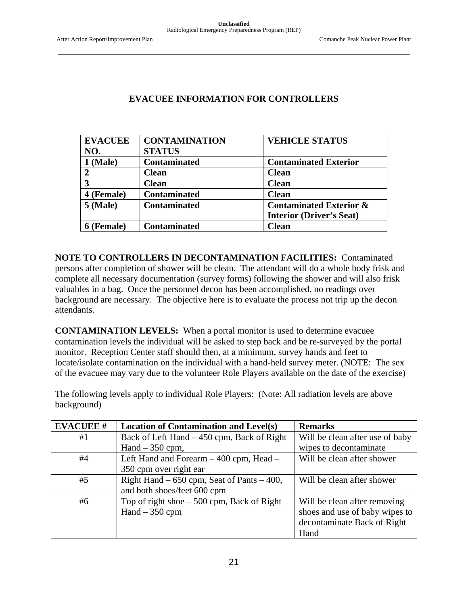| <b>EVACUEE</b> | <b>CONTAMINATION</b> | <b>VEHICLE STATUS</b>              |
|----------------|----------------------|------------------------------------|
| NO.            | <b>STATUS</b>        |                                    |
| $1$ (Male)     | <b>Contaminated</b>  | <b>Contaminated Exterior</b>       |
| $\overline{2}$ | <b>Clean</b>         | <b>Clean</b>                       |
| 3              | <b>Clean</b>         | <b>Clean</b>                       |
| 4 (Female)     | <b>Contaminated</b>  | <b>Clean</b>                       |
| $5$ (Male)     | <b>Contaminated</b>  | <b>Contaminated Exterior &amp;</b> |
|                |                      | <b>Interior (Driver's Seat)</b>    |
| 6 (Female)     | <b>Contaminated</b>  | <b>Clean</b>                       |

### **EVACUEE INFORMATION FOR CONTROLLERS**

\_\_\_\_\_\_\_\_\_\_\_\_\_\_\_\_\_\_\_\_\_\_\_\_\_\_\_\_\_\_\_\_\_\_\_\_\_\_\_\_\_\_\_\_\_\_\_\_\_\_\_\_\_\_\_\_\_\_\_\_\_\_\_\_\_\_\_\_\_

**NOTE TO CONTROLLERS IN DECONTAMINATION FACILITIES:** Contaminated persons after completion of shower will be clean. The attendant will do a whole body frisk and complete all necessary documentation (survey forms) following the shower and will also frisk valuables in a bag. Once the personnel decon has been accomplished, no readings over background are necessary. The objective here is to evaluate the process not trip up the decon attendants.

**CONTAMINATION LEVELS:** When a portal monitor is used to determine evacuee contamination levels the individual will be asked to step back and be re-surveyed by the portal monitor. Reception Center staff should then, at a minimum, survey hands and feet to locate/isolate contamination on the individual with a hand-held survey meter. (NOTE: The sex of the evacuee may vary due to the volunteer Role Players available on the date of the exercise)

The following levels apply to individual Role Players: (Note: All radiation levels are above background)

| <b>EVACUEE</b> # | <b>Location of Contamination and Level(s)</b> | <b>Remarks</b>                  |
|------------------|-----------------------------------------------|---------------------------------|
| #1               | Back of Left Hand – 450 cpm, Back of Right    | Will be clean after use of baby |
|                  | $Hand - 350$ cpm,                             | wipes to decontaminate          |
| #4               | Left Hand and Forearm – 400 cpm, Head –       | Will be clean after shower      |
|                  | 350 cpm over right ear                        |                                 |
| #5               | Right Hand $-650$ cpm, Seat of Pants $-400$ , | Will be clean after shower      |
|                  | and both shoes/feet 600 cpm                   |                                 |
| #6               | Top of right shoe $-500$ cpm, Back of Right   | Will be clean after removing    |
|                  | Hand $-350$ cpm                               | shoes and use of baby wipes to  |
|                  |                                               | decontaminate Back of Right     |
|                  |                                               | Hand                            |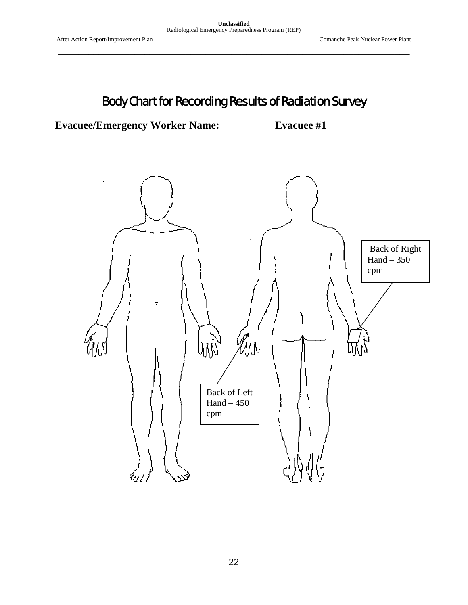## Body Chart for Recording Results of Radiation Survey

**Evacuee/Emergency Worker Name: Evacuee #1** 

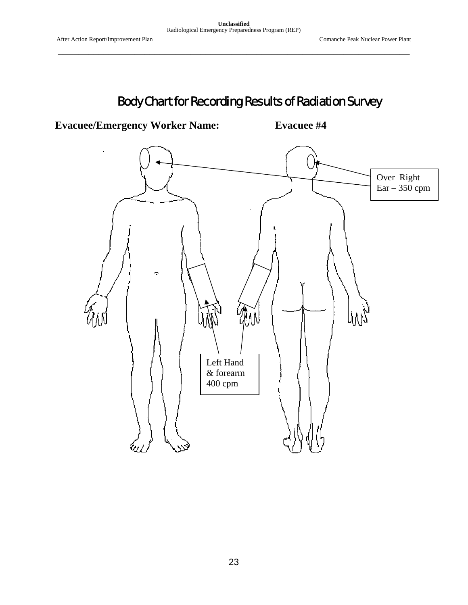## Body Chart for Recording Results of Radiation Survey

**Evacuee/Emergency Worker Name: Evacuee #4**  Over Right  $\text{Ear} - 350 \text{ cpm}$ ÷ I ŴŊ Left Hand & forearm 400 cpm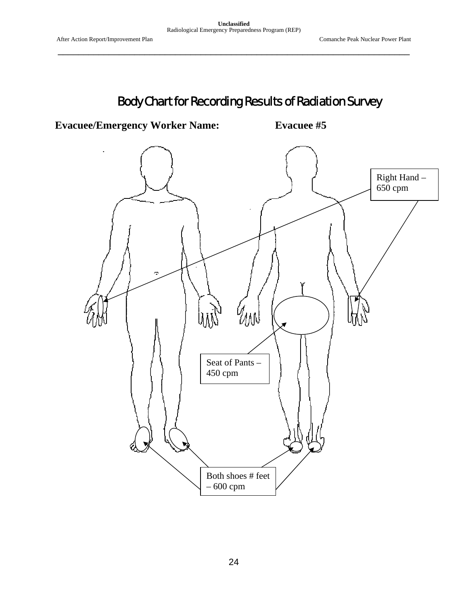## Body Chart for Recording Results of Radiation Survey

**Evacuee/Emergency Worker Name: Evacuee #5**  Right Hand – 650 cpm W W Seat of Pants – 450 cpm Both shoes # feet – 600 cpm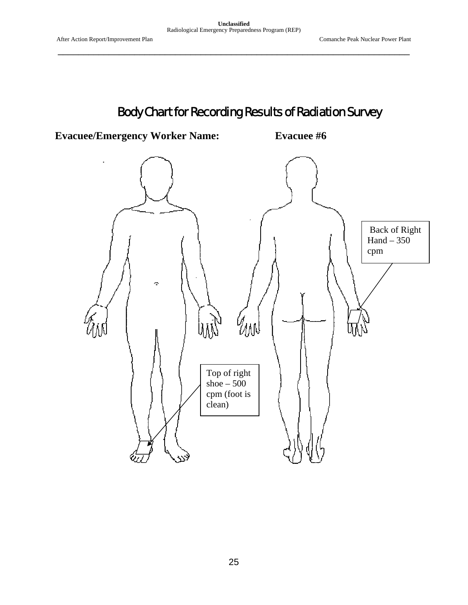## Body Chart for Recording Results of Radiation Survey

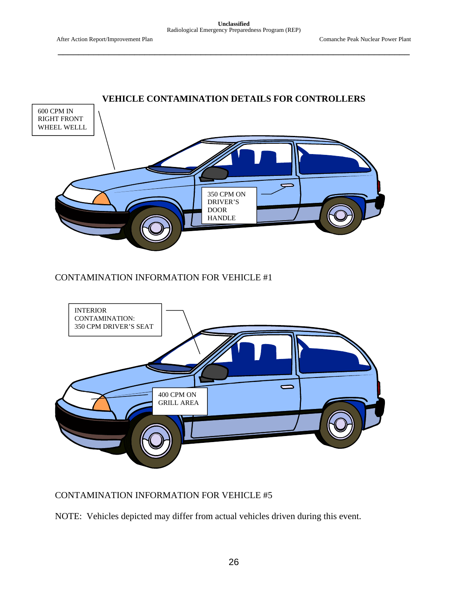After Action Report/Improvement Plan Comanche Peak Nuclear Power Plant



### CONTAMINATION INFORMATION FOR VEHICLE #1



### CONTAMINATION INFORMATION FOR VEHICLE #5

NOTE: Vehicles depicted may differ from actual vehicles driven during this event.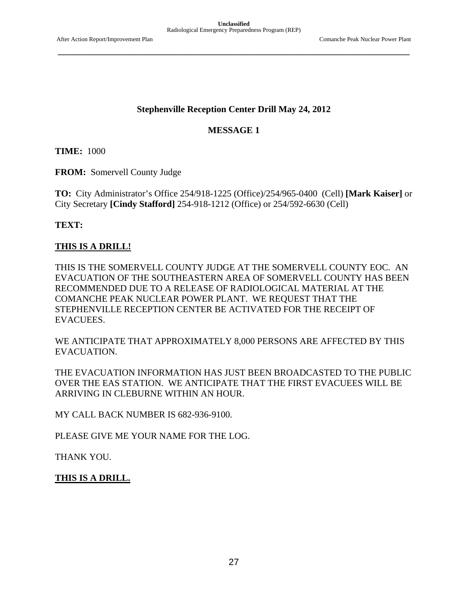### **Stephenville Reception Center Drill May 24, 2012**

### **MESSAGE 1**

**TIME:** 1000

**FROM:** Somervell County Judge

**TO:** City Administrator's Office 254/918-1225 (Office)/254/965-0400 (Cell) **[Mark Kaiser]** or City Secretary **[Cindy Stafford]** 254-918-1212 (Office) or 254/592-6630 (Cell)

### **TEXT:**

### **THIS IS A DRILL!**

THIS IS THE SOMERVELL COUNTY JUDGE AT THE SOMERVELL COUNTY EOC. AN EVACUATION OF THE SOUTHEASTERN AREA OF SOMERVELL COUNTY HAS BEEN RECOMMENDED DUE TO A RELEASE OF RADIOLOGICAL MATERIAL AT THE COMANCHE PEAK NUCLEAR POWER PLANT. WE REQUEST THAT THE STEPHENVILLE RECEPTION CENTER BE ACTIVATED FOR THE RECEIPT OF EVACUEES.

WE ANTICIPATE THAT APPROXIMATELY 8,000 PERSONS ARE AFFECTED BY THIS EVACUATION.

THE EVACUATION INFORMATION HAS JUST BEEN BROADCASTED TO THE PUBLIC OVER THE EAS STATION. WE ANTICIPATE THAT THE FIRST EVACUEES WILL BE ARRIVING IN CLEBURNE WITHIN AN HOUR.

MY CALL BACK NUMBER IS 682-936-9100.

PLEASE GIVE ME YOUR NAME FOR THE LOG.

THANK YOU.

### **THIS IS A DRILL.**